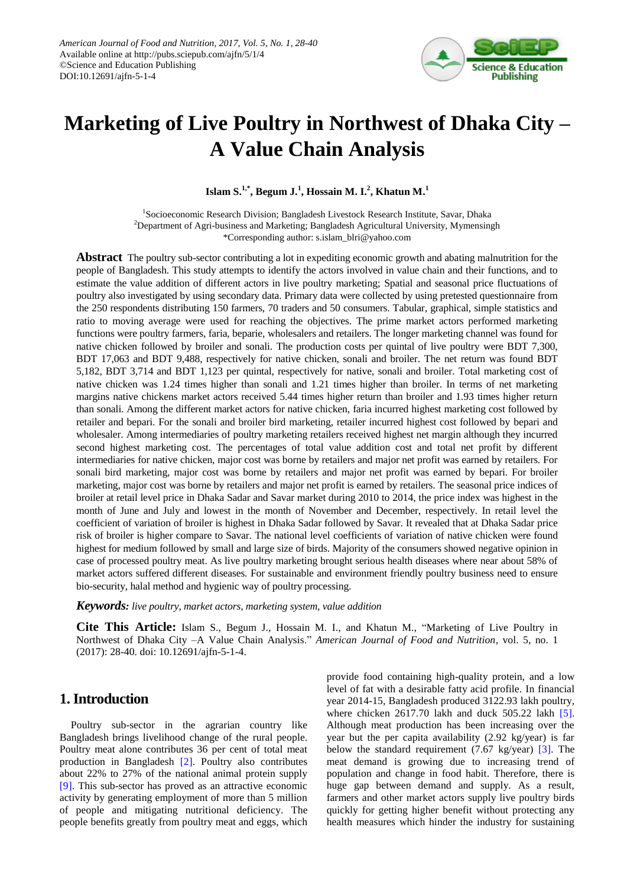

# **Marketing of Live Poultry in Northwest of Dhaka City – A Value Chain Analysis**

**Islam S.1,\* , Begum J.<sup>1</sup> , Hossain M. I.<sup>2</sup> , Khatun M.<sup>1</sup>**

<sup>1</sup>Socioeconomic Research Division; Bangladesh Livestock Research Institute, Savar, Dhaka <sup>2</sup>Department of Agri-business and Marketing; Bangladesh Agricultural University, Mymensingh \*Corresponding author: s.islam\_blri@yahoo.com

**Abstract** The poultry sub-sector contributing a lot in expediting economic growth and abating malnutrition for the people of Bangladesh. This study attempts to identify the actors involved in value chain and their functions, and to estimate the value addition of different actors in live poultry marketing; Spatial and seasonal price fluctuations of poultry also investigated by using secondary data. Primary data were collected by using pretested questionnaire from the 250 respondents distributing 150 farmers, 70 traders and 50 consumers. Tabular, graphical, simple statistics and ratio to moving average were used for reaching the objectives. The prime market actors performed marketing functions were poultry farmers, faria, beparie, wholesalers and retailers. The longer marketing channel was found for native chicken followed by broiler and sonali. The production costs per quintal of live poultry were BDT 7,300, BDT 17,063 and BDT 9,488, respectively for native chicken, sonali and broiler. The net return was found BDT 5,182, BDT 3,714 and BDT 1,123 per quintal, respectively for native, sonali and broiler. Total marketing cost of native chicken was 1.24 times higher than sonali and 1.21 times higher than broiler. In terms of net marketing margins native chickens market actors received 5.44 times higher return than broiler and 1.93 times higher return than sonali. Among the different market actors for native chicken, faria incurred highest marketing cost followed by retailer and bepari. For the sonali and broiler bird marketing, retailer incurred highest cost followed by bepari and wholesaler. Among intermediaries of poultry marketing retailers received highest net margin although they incurred second highest marketing cost. The percentages of total value addition cost and total net profit by different intermediaries for native chicken, major cost was borne by retailers and major net profit was earned by retailers. For sonali bird marketing, major cost was borne by retailers and major net profit was earned by bepari. For broiler marketing, major cost was borne by retailers and major net profit is earned by retailers. The seasonal price indices of broiler at retail level price in Dhaka Sadar and Savar market during 2010 to 2014, the price index was highest in the month of June and July and lowest in the month of November and December, respectively. In retail level the coefficient of variation of broiler is highest in Dhaka Sadar followed by Savar. It revealed that at Dhaka Sadar price risk of broiler is higher compare to Savar. The national level coefficients of variation of native chicken were found highest for medium followed by small and large size of birds. Majority of the consumers showed negative opinion in case of processed poultry meat. As live poultry marketing brought serious health diseases where near about 58% of market actors suffered different diseases. For sustainable and environment friendly poultry business need to ensure bio-security, halal method and hygienic way of poultry processing.

*Keywords: live poultry, market actors, marketing system, value addition*

**Cite This Article:** Islam S., Begum J., Hossain M. I., and Khatun M., "Marketing of Live Poultry in Northwest of Dhaka City –A Value Chain Analysis." *American Journal of Food and Nutrition*, vol. 5, no. 1 (2017): 28-40. doi: 10.12691/ajfn-5-1-4.

# **1. Introduction**

Poultry sub-sector in the agrarian country like Bangladesh brings livelihood change of the rural people. Poultry meat alone contributes 36 per cent of total meat production in Bangladesh [\[2\].](#page-11-0) Poultry also contributes about 22% to 27% of the national animal protein supply [\[9\].](#page-11-1) This sub-sector has proved as an attractive economic activity by generating employment of more than 5 million of people and mitigating nutritional deficiency. The people benefits greatly from poultry meat and eggs, which provide food containing high-quality protein, and a low level of fat with a desirable fatty acid profile. In financial year 2014-15, Bangladesh produced 3122.93 lakh poultry, where chicken 2617.70 lakh and duck 505.22 lakh [\[5\].](#page-11-2) Although meat production has been increasing over the year but the per capita availability (2.92 kg/year) is far below the standard requirement (7.67 kg/year) [\[3\].](#page-11-3) The meat demand is growing due to increasing trend of population and change in food habit. Therefore, there is huge gap between demand and supply. As a result, farmers and other market actors supply live poultry birds quickly for getting higher benefit without protecting any health measures which hinder the industry for sustaining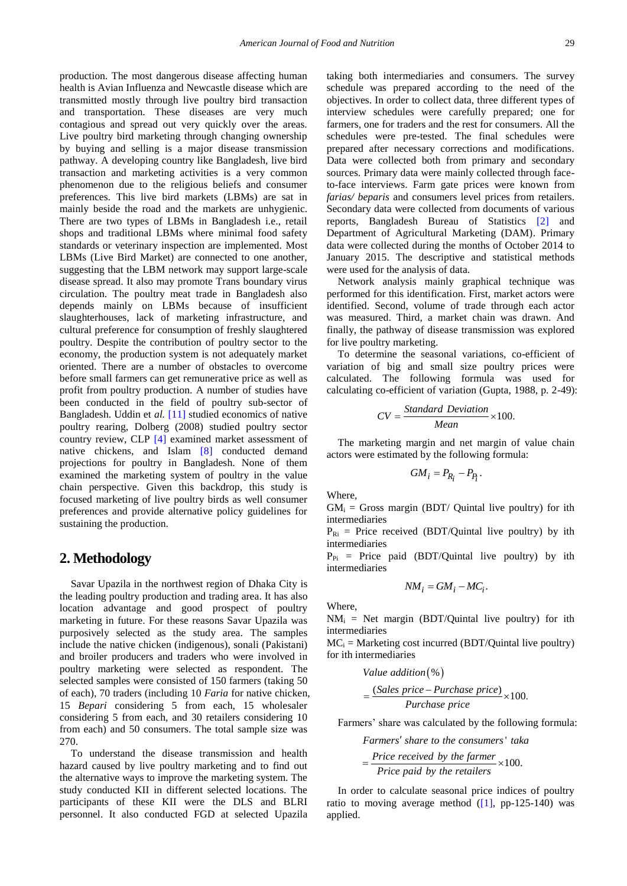production. The most dangerous disease affecting human health is Avian Influenza and Newcastle disease which are transmitted mostly through live poultry bird transaction and transportation. These diseases are very much contagious and spread out very quickly over the areas. Live poultry bird marketing through changing ownership by buying and selling is a major disease transmission pathway. A developing country like Bangladesh, live bird transaction and marketing activities is a very common phenomenon due to the religious beliefs and consumer preferences. This live bird markets (LBMs) are sat in mainly beside the road and the markets are unhygienic. There are two types of LBMs in Bangladesh i.e., retail shops and traditional LBMs where minimal food safety standards or veterinary inspection are implemented. Most LBMs (Live Bird Market) are connected to one another, suggesting that the LBM network may support large-scale disease spread. It also may promote Trans boundary virus circulation. The poultry meat trade in Bangladesh also depends mainly on LBMs because of insufficient slaughterhouses, lack of marketing infrastructure, and cultural preference for consumption of freshly slaughtered poultry. Despite the contribution of poultry sector to the economy, the production system is not adequately market oriented. There are a number of obstacles to overcome before small farmers can get remunerative price as well as profit from poultry production. A number of studies have been conducted in the field of poultry sub-sector of Bangladesh. Uddin et *al.* [\[11\]](#page-11-4) studied economics of native poultry rearing, Dolberg (2008) studied poultry sector country review, CLP [\[4\]](#page-11-5) examined market assessment of native chickens, and Islam [\[8\]](#page-11-6) conducted demand projections for poultry in Bangladesh. None of them examined the marketing system of poultry in the value chain perspective. Given this backdrop, this study is focused marketing of live poultry birds as well consumer preferences and provide alternative policy guidelines for sustaining the production.

# **2. Methodology**

Savar Upazila in the northwest region of Dhaka City is the leading poultry production and trading area. It has also location advantage and good prospect of poultry marketing in future. For these reasons Savar Upazila was purposively selected as the study area. The samples include the native chicken (indigenous), sonali (Pakistani) and broiler producers and traders who were involved in poultry marketing were selected as respondent. The selected samples were consisted of 150 farmers (taking 50 of each), 70 traders (including 10 *Faria* for native chicken, 15 *Bepari* considering 5 from each, 15 wholesaler considering 5 from each, and 30 retailers considering 10 from each) and 50 consumers. The total sample size was 270.

To understand the disease transmission and health hazard caused by live poultry marketing and to find out the alternative ways to improve the marketing system. The study conducted KII in different selected locations. The participants of these KII were the DLS and BLRI personnel. It also conducted FGD at selected Upazila taking both intermediaries and consumers. The survey schedule was prepared according to the need of the objectives. In order to collect data, three different types of interview schedules were carefully prepared; one for farmers, one for traders and the rest for consumers. All the schedules were pre-tested. The final schedules were prepared after necessary corrections and modifications. Data were collected both from primary and secondary sources. Primary data were mainly collected through faceto-face interviews. Farm gate prices were known from *farias/ beparis* and consumers level prices from retailers. Secondary data were collected from documents of various reports, Bangladesh Bureau of Statistics [\[2\]](#page-11-0) and Department of Agricultural Marketing (DAM). Primary data were collected during the months of October 2014 to January 2015. The descriptive and statistical methods were used for the analysis of data.

Network analysis mainly graphical technique was performed for this identification. First, market actors were identified. Second, volume of trade through each actor was measured. Third, a market chain was drawn. And finally, the pathway of disease transmission was explored for live poultry marketing.

To determine the seasonal variations, co-efficient of variation of big and small size poultry prices were calculated. The following formula was used for calculating co-efficient of variation (Gupta, 1988, p. 2-49):

$$
CV = \frac{Standard\ Deviation}{Mean} \times 100.
$$

The marketing margin and net margin of value chain actors were estimated by the following formula:

$$
GM_i = P_{R_i} - P_{P_i}.
$$

Where,

 $GM_i$  = Gross margin (BDT/ Quintal live poultry) for ith intermediaries

 $P_{\text{Ri}}$  = Price received (BDT/Quintal live poultry) by ith intermediaries

 $P_{Pi}$  = Price paid (BDT/Quintal live poultry) by ith intermediaries

$$
NM_i = GM_i - MC_i.
$$

Where,

 $NM_i$  = Net margin (BDT/Quintal live poultry) for ith intermediaries

 $MC_i =$  Marketing cost incurred (BDT/Quintal live poultry) for ith intermediaries

Value addition (%)
$$
= \frac{(Sales\ price - Purchase\ price)}{Purchase\ price} \times 100.
$$

Farmers' share was calculated by the following formula:

 ' *Farmers share to the consumers taka Price received by the farmer*  $\times$  100.  $=\frac{Price received by the farmer}{Divic result by the particular} \times 100.$ 

$$
\frac{Price\ received\ by\ the\ farmer}{Price\ paid\ by\ the\ retailers} \times
$$

In order to calculate seasonal price indices of poultry ratio to moving average method  $(1]$ , pp-125-140) was applied.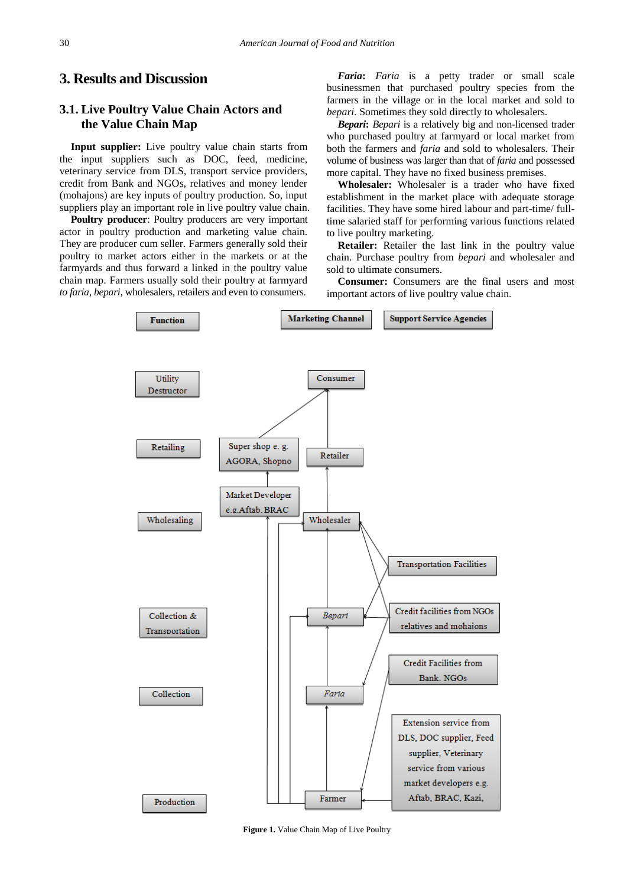# **3. Results and Discussion**

# **3.1. Live Poultry Value Chain Actors and the Value Chain Map**

**Input supplier:** Live poultry value chain starts from the input suppliers such as DOC, feed, medicine, veterinary service from DLS, transport service providers, credit from Bank and NGOs, relatives and money lender (mohajons) are key inputs of poultry production. So, input suppliers play an important role in live poultry value chain.

**Poultry producer**: Poultry producers are very important actor in poultry production and marketing value chain. They are producer cum seller. Farmers generally sold their poultry to market actors either in the markets or at the farmyards and thus forward a linked in the poultry value chain map. Farmers usually sold their poultry at farmyard *to faria*, *bepari*, wholesalers, retailers and even to consumers.

*Faria***:** *Faria* is a petty trader or small scale businessmen that purchased poultry species from the farmers in the village or in the local market and sold to *bepari*. Sometimes they sold directly to wholesalers.

*Bepari***:** *Bepari* is a relatively big and non-licensed trader who purchased poultry at farmyard or local market from both the farmers and *faria* and sold to wholesalers. Their volume of business was larger than that of *faria* and possessed more capital. They have no fixed business premises.

**Wholesaler:** Wholesaler is a trader who have fixed establishment in the market place with adequate storage facilities. They have some hired labour and part-time/ fulltime salaried staff for performing various functions related to live poultry marketing.

**Retailer:** Retailer the last link in the poultry value chain. Purchase poultry from *bepari* and wholesaler and sold to ultimate consumers.

**Consumer:** Consumers are the final users and most important actors of live poultry value chain.



**Figure 1.** Value Chain Map of Live Poultry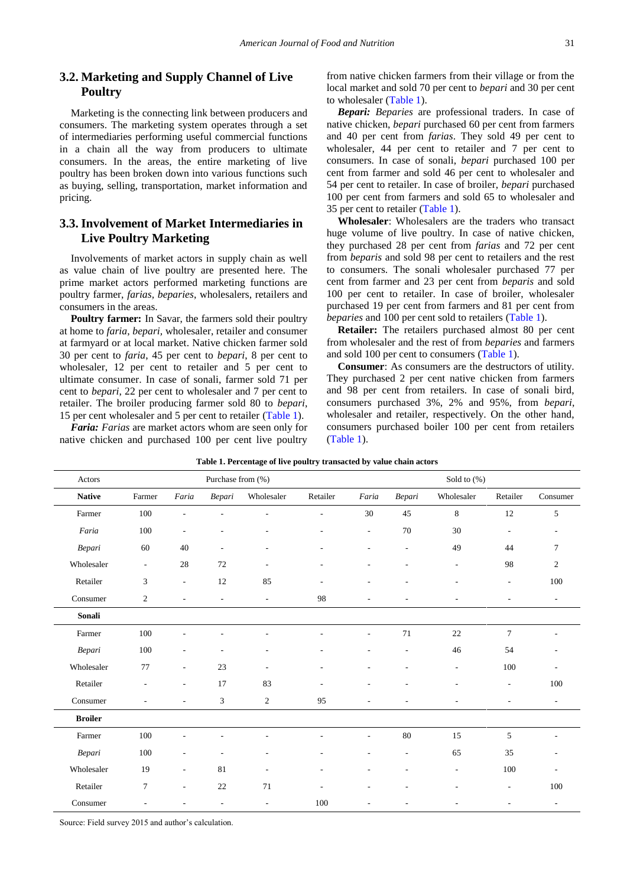# **3.2. Marketing and Supply Channel of Live Poultry**

Marketing is the connecting link between producers and consumers. The marketing system operates through a set of intermediaries performing useful commercial functions in a chain all the way from producers to ultimate consumers. In the areas, the entire marketing of live poultry has been broken down into various functions such as buying, selling, transportation, market information and pricing.

# **3.3. Involvement of Market Intermediaries in Live Poultry Marketing**

Involvements of market actors in supply chain as well as value chain of live poultry are presented here. The prime market actors performed marketing functions are poultry farmer, *farias, beparies*, wholesalers, retailers and consumers in the areas.

**Poultry farmer:** In Savar, the farmers sold their poultry at home to *faria*, *bepari,* wholesaler, retailer and consumer at farmyard or at local market. Native chicken farmer sold 30 per cent to *faria*, 45 per cent to *bepari*, 8 per cent to wholesaler, 12 per cent to retailer and 5 per cent to ultimate consumer. In case of sonali, farmer sold 71 per cent to *bepari*, 22 per cent to wholesaler and 7 per cent to retailer. The broiler producing farmer sold 80 to *bepari*, 15 per cent wholesaler and 5 per cent to retailer [\(Table 1\)](#page-3-0).

*Faria: Farias* are market actors whom are seen only for native chicken and purchased 100 per cent live poultry from native chicken farmers from their village or from the local market and sold 70 per cent to *bepari* and 30 per cent to wholesaler [\(Table 1\)](#page-3-0).

*Bepari: Beparies* are professional traders. In case of native chicken, *bepari* purchased 60 per cent from farmers and 40 per cent from *farias*. They sold 49 per cent to wholesaler, 44 per cent to retailer and 7 per cent to consumers. In case of sonali, *bepari* purchased 100 per cent from farmer and sold 46 per cent to wholesaler and 54 per cent to retailer. In case of broiler, *bepari* purchased 100 per cent from farmers and sold 65 to wholesaler and 35 per cent to retailer [\(Table 1\)](#page-3-0).

**Wholesaler**: Wholesalers are the traders who transact huge volume of live poultry. In case of native chicken, they purchased 28 per cent from *farias* and 72 per cent from *beparis* and sold 98 per cent to retailers and the rest to consumers. The sonali wholesaler purchased 77 per cent from farmer and 23 per cent from *beparis* and sold 100 per cent to retailer. In case of broiler, wholesaler purchased 19 per cent from farmers and 81 per cent from *beparies* and 100 per cent sold to retailers [\(Table 1\)](#page-3-0).

**Retailer:** The retailers purchased almost 80 per cent from wholesaler and the rest of from *beparies* and farmers and sold 100 per cent to consumers [\(Table 1\)](#page-3-0).

**Consumer**: As consumers are the destructors of utility. They purchased 2 per cent native chicken from farmers and 98 per cent from retailers. In case of sonali bird, consumers purchased 3%, 2% and 95%, from *bepari*, wholesaler and retailer, respectively. On the other hand, consumers purchased boiler 100 per cent from retailers [\(Table 1\)](#page-3-0).

<span id="page-3-0"></span>

| Actors                                                                                                                                                                                                                                                                                                                             |                          |                          | Purchase from (%)        |                          |                          |                          |                          | Sold to $(\%)$           |                          |                          |
|------------------------------------------------------------------------------------------------------------------------------------------------------------------------------------------------------------------------------------------------------------------------------------------------------------------------------------|--------------------------|--------------------------|--------------------------|--------------------------|--------------------------|--------------------------|--------------------------|--------------------------|--------------------------|--------------------------|
| <b>Native</b>                                                                                                                                                                                                                                                                                                                      | Farmer                   | Faria                    | Bepari                   | Wholesaler               | Retailer                 | Faria                    | Bepari                   | Wholesaler               | Retailer                 | Consumer                 |
| Farmer                                                                                                                                                                                                                                                                                                                             | 100                      | $\overline{\phantom{a}}$ |                          | ÷,                       | $\overline{\phantom{a}}$ | 30                       | 45                       | $\,8\,$                  | 12                       | 5                        |
| Faria                                                                                                                                                                                                                                                                                                                              | 100                      | ٠                        |                          |                          |                          | ÷,                       | $70\,$                   | 30                       | $\overline{a}$           | ٠                        |
| $Bepari% \begin{pmatrix} 1 & 0 & 0 \\ 0 & 1 & 0 \\ 0 & 0 & 1 \\ 0 & 0 & 0 \\ 0 & 0 & 0 \\ 0 & 0 & 0 \\ 0 & 0 & 0 \\ 0 & 0 & 0 \\ 0 & 0 & 0 & 0 \\ 0 & 0 & 0 & 0 \\ 0 & 0 & 0 & 0 \\ 0 & 0 & 0 & 0 \\ 0 & 0 & 0 & 0 & 0 \\ 0 & 0 & 0 & 0 & 0 \\ 0 & 0 & 0 & 0 & 0 \\ 0 & 0 & 0 & 0 & 0 & 0 \\ 0 & 0 & 0 & 0 & 0 & 0 \\ 0 & 0 & 0 &$ | 60                       | 40                       | ٠                        |                          |                          | ٠                        | $\overline{\phantom{a}}$ | 49                       | 44                       | $\tau$                   |
| Wholesaler                                                                                                                                                                                                                                                                                                                         | $\overline{\phantom{a}}$ | 28                       | 72                       |                          |                          |                          |                          | $\overline{\phantom{a}}$ | 98                       | $\overline{c}$           |
| Retailer                                                                                                                                                                                                                                                                                                                           | 3                        | $\overline{\phantom{a}}$ | $12\,$                   | 85                       |                          | ٠                        | ÷,                       | L,                       | $\overline{\phantom{a}}$ | 100                      |
| Consumer                                                                                                                                                                                                                                                                                                                           | 2                        | $\sim$                   | $\overline{\phantom{a}}$ | $\overline{\phantom{a}}$ | 98                       | $\overline{\phantom{a}}$ | ÷,                       | $\overline{a}$           | $\overline{\phantom{a}}$ | $\overline{\phantom{a}}$ |
| $\boldsymbol{\text{Small}}$                                                                                                                                                                                                                                                                                                        |                          |                          |                          |                          |                          |                          |                          |                          |                          |                          |
| Farmer                                                                                                                                                                                                                                                                                                                             | $100\,$                  |                          |                          |                          |                          | ÷,                       | 71                       | 22                       | $\overline{7}$           |                          |
| Bepari                                                                                                                                                                                                                                                                                                                             | 100                      |                          |                          |                          |                          |                          | $\overline{a}$           | 46                       | 54                       |                          |
| Wholesaler                                                                                                                                                                                                                                                                                                                         | 77                       |                          | 23                       |                          |                          |                          |                          | ÷                        | 100                      |                          |
| Retailer                                                                                                                                                                                                                                                                                                                           | $\overline{\phantom{a}}$ | $\overline{\phantom{a}}$ | 17                       | 83                       |                          |                          | ÷                        | ÷                        | $\overline{\phantom{a}}$ | 100                      |
| Consumer                                                                                                                                                                                                                                                                                                                           | ÷,                       | $\overline{\phantom{a}}$ | 3                        | $\overline{c}$           | 95                       | $\overline{\phantom{a}}$ | $\overline{\phantom{a}}$ | $\overline{\phantom{a}}$ | $\overline{\phantom{a}}$ | $\overline{\phantom{a}}$ |
| <b>Broiler</b>                                                                                                                                                                                                                                                                                                                     |                          |                          |                          |                          |                          |                          |                          |                          |                          |                          |
| Farmer                                                                                                                                                                                                                                                                                                                             | $100\,$                  |                          |                          |                          |                          |                          | $80\,$                   | 15                       | 5                        | ÷                        |
| Bepari                                                                                                                                                                                                                                                                                                                             | 100                      |                          |                          |                          |                          |                          |                          | 65                       | 35                       |                          |
| Wholesaler                                                                                                                                                                                                                                                                                                                         | 19                       | $\overline{\phantom{a}}$ | 81                       |                          |                          |                          |                          | $\overline{\phantom{a}}$ | 100                      |                          |
| Retailer                                                                                                                                                                                                                                                                                                                           | $\tau$                   | $\overline{\phantom{a}}$ | $22\,$                   | 71                       | $\overline{\phantom{a}}$ | ٠                        | $\overline{\phantom{a}}$ | ٠                        | $\overline{\phantom{a}}$ | 100                      |
| Consumer                                                                                                                                                                                                                                                                                                                           | $\overline{\phantom{a}}$ | ٠                        | $\overline{\phantom{a}}$ | $\overline{\phantom{a}}$ | 100                      | ٠                        | ٠                        | $\overline{\phantom{a}}$ | $\overline{\phantom{0}}$ | $\overline{\phantom{a}}$ |

**Table 1. Percentage of live poultry transacted by value chain actors**

Source: Field survey 2015 and author's calculation.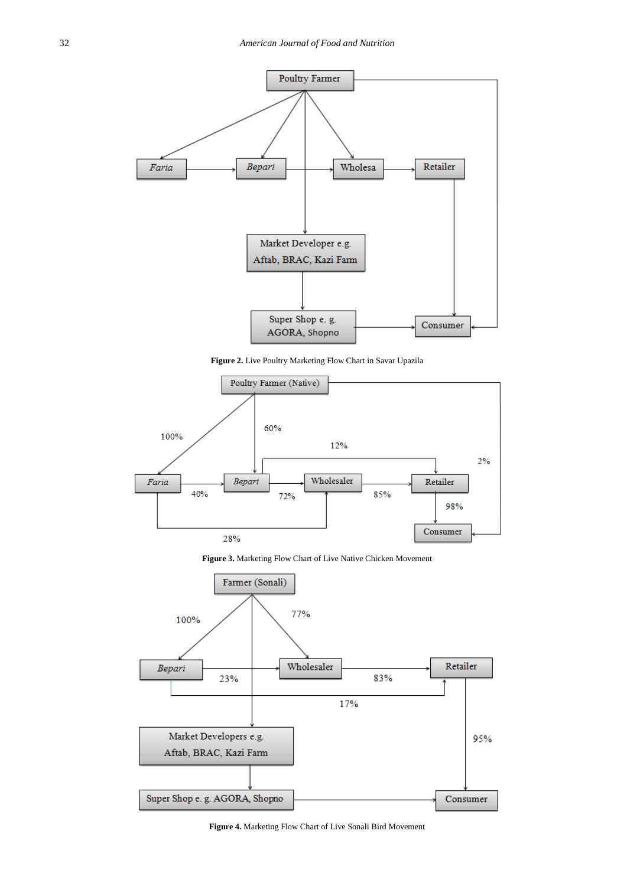

**Figure 2.** Live Poultry Marketing Flow Chart in Savar Upazila



**Figure 3.** Marketing Flow Chart of Live Native Chicken Movement



**Figure 4.** Marketing Flow Chart of Live Sonali Bird Movement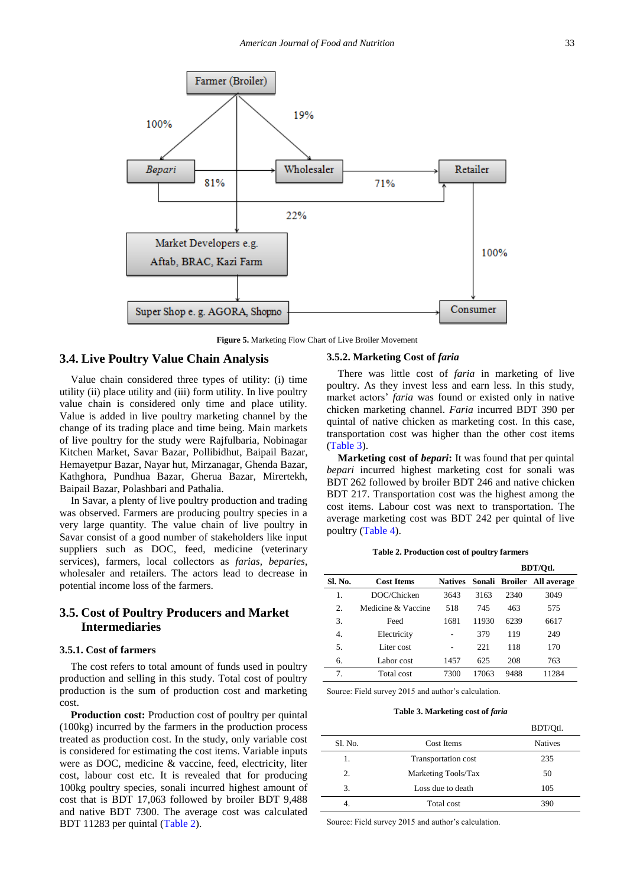

**Figure 5.** Marketing Flow Chart of Live Broiler Movement

## **3.4. Live Poultry Value Chain Analysis**

Value chain considered three types of utility: (i) time utility (ii) place utility and (iii) form utility. In live poultry value chain is considered only time and place utility. Value is added in live poultry marketing channel by the change of its trading place and time being. Main markets of live poultry for the study were Rajfulbaria, Nobinagar Kitchen Market, Savar Bazar, Pollibidhut, Baipail Bazar, Hemayetpur Bazar, Nayar hut, Mirzanagar, Ghenda Bazar, Kathghora, Pundhua Bazar, Gherua Bazar, Mirertekh, Baipail Bazar, Polashbari and Pathalia.

In Savar, a plenty of live poultry production and trading was observed. Farmers are producing poultry species in a very large quantity. The value chain of live poultry in Savar consist of a good number of stakeholders like input suppliers such as DOC, feed, medicine (veterinary services), farmers, local collectors as *farias, beparies*, wholesaler and retailers. The actors lead to decrease in potential income loss of the farmers.

# **3.5. Cost of Poultry Producers and Market Intermediaries**

## **3.5.1. Cost of farmers**

The cost refers to total amount of funds used in poultry production and selling in this study. Total cost of poultry production is the sum of production cost and marketing cost.

**Production cost:** Production cost of poultry per quintal (100kg) incurred by the farmers in the production process treated as production cost. In the study, only variable cost is considered for estimating the cost items. Variable inputs were as DOC, medicine & vaccine, feed, electricity, liter cost, labour cost etc. It is revealed that for producing 100kg poultry species, sonali incurred highest amount of cost that is BDT 17,063 followed by broiler BDT 9,488 and native BDT 7300. The average cost was calculated BDT 11283 per quintal [\(Table 2\)](#page-5-0).

#### **3.5.2. Marketing Cost of** *faria*

There was little cost of *faria* in marketing of live poultry. As they invest less and earn less. In this study, market actors' *faria* was found or existed only in native chicken marketing channel. *Faria* incurred BDT 390 per quintal of native chicken as marketing cost. In this case, transportation cost was higher than the other cost items [\(Table 3\)](#page-5-1).

**Marketing cost of** *bepari***:** It was found that per quintal *bepari* incurred highest marketing cost for sonali was BDT 262 followed by broiler BDT 246 and native chicken BDT 217. Transportation cost was the highest among the cost items. Labour cost was next to transportation. The average marketing cost was BDT 242 per quintal of live poultry [\(Table 4\)](#page-6-0).

**Table 2. Production cost of poultry farmers**

<span id="page-5-0"></span>

|         |                    |                |       | BDT/Otl. |                            |  |
|---------|--------------------|----------------|-------|----------|----------------------------|--|
| Sl. No. | <b>Cost Items</b>  | <b>Natives</b> |       |          | Sonali Broiler All average |  |
| 1.      | DOC/Chicken        | 3643           | 3163  | 2340     | 3049                       |  |
| 2.      | Medicine & Vaccine | 518            | 745   | 463      | 575                        |  |
| 3.      | Feed               | 1681           | 11930 | 6239     | 6617                       |  |
| 4.      | Electricity        |                | 379   | 119      | 249                        |  |
| 5.      | Liter cost         |                | 22.1  | 118      | 170                        |  |
| 6.      | Labor cost         | 1457           | 625   | 208      | 763                        |  |
| 7.      | Total cost         | 7300           | 17063 | 9488     | 11284                      |  |

Source: Field survey 2015 and author's calculation.

**Table 3. Marketing cost of** *faria*

<span id="page-5-1"></span>

|         |                     | BDT/Qtl.       |
|---------|---------------------|----------------|
| Sl. No. | Cost Items          | <b>Natives</b> |
| 1.      | Transportation cost | 235            |
| 2.      | Marketing Tools/Tax | 50             |
| 3.      | Loss due to death   | 105            |
|         | Total cost          | 390            |

Source: Field survey 2015 and author's calculation.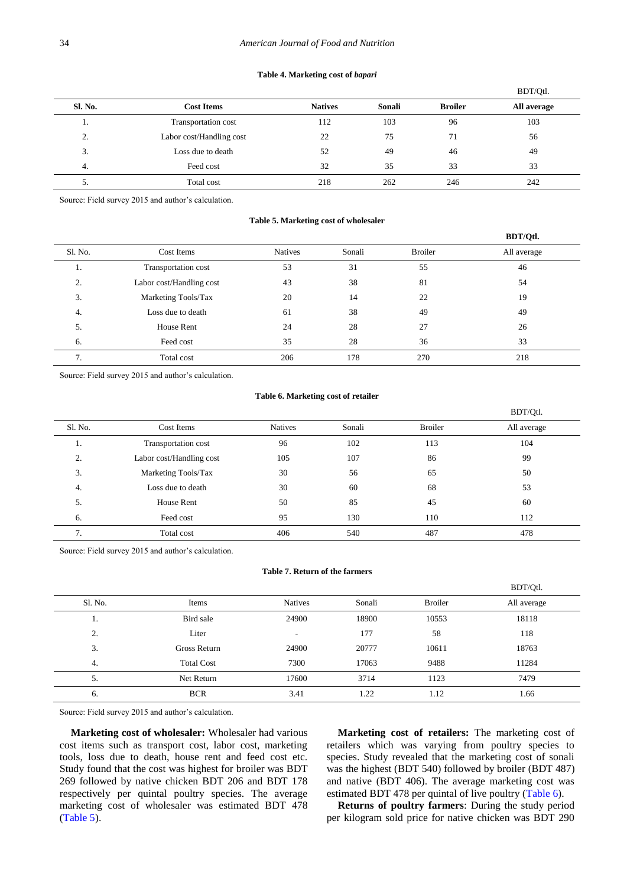#### **Table 4. Marketing cost of** *bapari*

<span id="page-6-0"></span>

|                |                          |                |        |                | BDT/Otl.    |
|----------------|--------------------------|----------------|--------|----------------|-------------|
| Sl. No.        | <b>Cost Items</b>        | <b>Natives</b> | Sonali | <b>Broiler</b> | All average |
|                | Transportation cost      | 112            | 103    | 96             | 103         |
| $\Omega$<br>۷. | Labor cost/Handling cost | 22             | 75     | 71             | 56          |
| 3.             | Loss due to death        | 52             | 49     | 46             | 49          |
| 4.             | Feed cost                | 32             | 35     | 33             | 33          |
| . ب            | Total cost               | 218            | 262    | 246            | 242         |

Source: Field survey 2015 and author's calculation.

## **Table 5. Marketing cost of wholesaler**

<span id="page-6-1"></span>

|         |                          |                |        |                | BDT/Qtl.    |
|---------|--------------------------|----------------|--------|----------------|-------------|
| S1. No. | Cost Items               | <b>Natives</b> | Sonali | <b>Broiler</b> | All average |
| .,      | Transportation cost      | 53             | 31     | 55             | 46          |
| 2.      | Labor cost/Handling cost | 43             | 38     | 81             | 54          |
| 3.      | Marketing Tools/Tax      | 20             | 14     | 22             | 19          |
| 4.      | Loss due to death        | 61             | 38     | 49             | 49          |
| 5.      | <b>House Rent</b>        | 24             | 28     | 27             | 26          |
| 6.      | Feed cost                | 35             | 28     | 36             | 33          |
| 7.      | Total cost               | 206            | 178    | 270            | 218         |

Source: Field survey 2015 and author's calculation.

#### **Table 6. Marketing cost of retailer**

<span id="page-6-2"></span>

|         |                          |                |        |                | BDT/Qtl.    |
|---------|--------------------------|----------------|--------|----------------|-------------|
| Sl. No. | Cost Items               | <b>Natives</b> | Sonali | <b>Broiler</b> | All average |
| 1.      | Transportation cost      | 96             | 102    | 113            | 104         |
| 2.      | Labor cost/Handling cost | 105            | 107    | 86             | 99          |
| 3.      | Marketing Tools/Tax      | 30             | 56     | 65             | 50          |
| 4.      | Loss due to death        | 30             | 60     | 68             | 53          |
| 5.      | <b>House Rent</b>        | 50             | 85     | 45             | 60          |
| 6.      | Feed cost                | 95             | 130    | 110            | 112         |
| 7.      | Total cost               | 406            | 540    | 487            | 478         |

Source: Field survey 2015 and author's calculation.

## **Table 7. Return of the farmers**

<span id="page-6-3"></span>

|         |                   |                          |        |                | BDT/Qtl.    |
|---------|-------------------|--------------------------|--------|----------------|-------------|
| Sl. No. | Items             | <b>Natives</b>           | Sonali | <b>Broiler</b> | All average |
| .,      | Bird sale         | 24900                    | 18900  | 10553          | 18118       |
| 2.      | Liter             | $\overline{\phantom{a}}$ | 177    | 58             | 118         |
| 3.      | Gross Return      | 24900                    | 20777  | 10611          | 18763       |
| 4.      | <b>Total Cost</b> | 7300                     | 17063  | 9488           | 11284       |
| 5.      | Net Return        | 17600                    | 3714   | 1123           | 7479        |
| 6.      | <b>BCR</b>        | 3.41                     | 1.22   | 1.12           | 1.66        |

Source: Field survey 2015 and author's calculation.

**Marketing cost of wholesaler:** Wholesaler had various cost items such as transport cost, labor cost, marketing tools, loss due to death, house rent and feed cost etc. Study found that the cost was highest for broiler was BDT 269 followed by native chicken BDT 206 and BDT 178 respectively per quintal poultry species. The average marketing cost of wholesaler was estimated BDT 478 [\(Table 5\)](#page-6-1).

**Marketing cost of retailers:** The marketing cost of retailers which was varying from poultry species to species. Study revealed that the marketing cost of sonali was the highest (BDT 540) followed by broiler (BDT 487) and native (BDT 406). The average marketing cost was estimated BDT 478 per quintal of live poultry [\(Table 6\)](#page-6-2).

 $\frac{1}{2}$ 

**Returns of poultry farmers**: During the study period per kilogram sold price for native chicken was BDT 290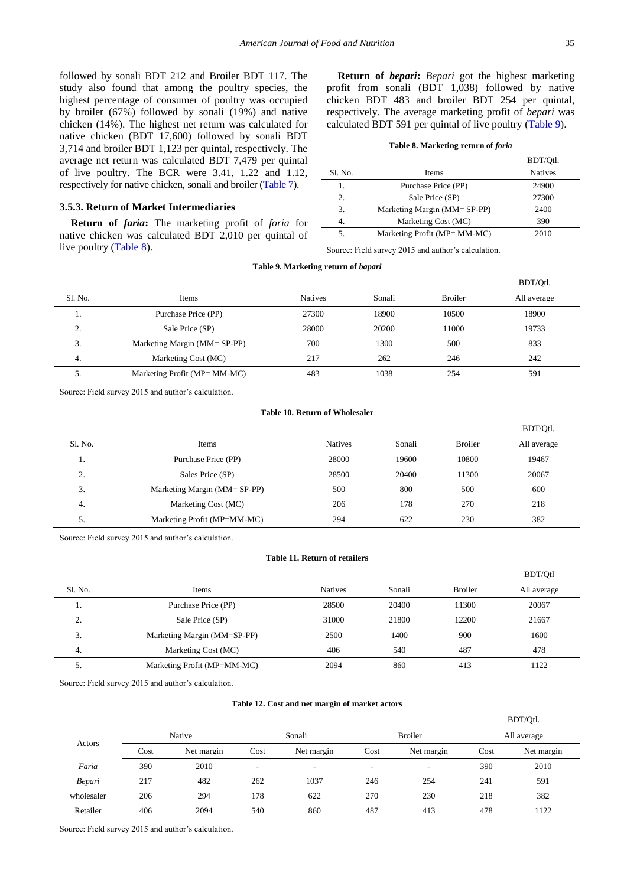followed by sonali BDT 212 and Broiler BDT 117. The study also found that among the poultry species, the highest percentage of consumer of poultry was occupied by broiler (67%) followed by sonali (19%) and native chicken (14%). The highest net return was calculated for native chicken (BDT 17,600) followed by sonali BDT 3,714 and broiler BDT 1,123 per quintal, respectively. The average net return was calculated BDT 7,479 per quintal of live poultry. The BCR were 3.41, 1.22 and 1.12, respectively for native chicken, sonali and broiler [\(Table 7\)](#page-6-3).

# **3.5.3. Return of Market Intermediaries**

**Return of** *faria***:** The marketing profit of *foria* for native chicken was calculated BDT 2,010 per quintal of live poultry [\(Table 8\)](#page-7-0).

**Return of** *bepari***:** *Bepari* got the highest marketing profit from sonali (BDT 1,038) followed by native chicken BDT 483 and broiler BDT 254 per quintal, respectively. The average marketing profit of *bepari* was calculated BDT 591 per quintal of live poultry [\(Table 9\)](#page-7-1).

#### **Table 8. Marketing return of** *foria*

<span id="page-7-0"></span>

|         |                              | BDT/Otl.       |
|---------|------------------------------|----------------|
| S1. No. | <b>Items</b>                 | <b>Natives</b> |
| 1.      | Purchase Price (PP)          | 24900          |
| 2.      | Sale Price (SP)              | 27300          |
| 3.      | Marketing Margin (MM= SP-PP) | 2400           |
|         | Marketing Cost (MC)          | 390            |
|         | Marketing Profit (MP= MM-MC) | 2010           |

Source: Field survey 2015 and author's calculation.

|  | Table 9. Marketing return of bapari |  |  |
|--|-------------------------------------|--|--|
|--|-------------------------------------|--|--|

<span id="page-7-1"></span>

|         |                              |                |        |                | BDT/Otl.    |
|---------|------------------------------|----------------|--------|----------------|-------------|
| Sl. No. | Items                        | <b>Natives</b> | Sonali | <b>Broiler</b> | All average |
|         | Purchase Price (PP)          | 27300          | 18900  | 10500          | 18900       |
| 2.      | Sale Price (SP)              | 28000          | 20200  | 11000          | 19733       |
| 3.      | Marketing Margin (MM= SP-PP) | 700            | 1300   | 500            | 833         |
| 4.      | Marketing Cost (MC)          | 217            | 262    | 246            | 242         |
| 5.      | Marketing Profit (MP= MM-MC) | 483            | 1038   | 254            | 591         |
|         |                              |                |        |                |             |

Source: Field survey 2015 and author's calculation.

## **Table 10. Return of Wholesaler**

<span id="page-7-2"></span>

|                |                              |                |        |                | BDT/Otl.    |
|----------------|------------------------------|----------------|--------|----------------|-------------|
| Sl. No.        | Items                        | <b>Natives</b> | Sonali | <b>Broiler</b> | All average |
|                | Purchase Price (PP)          | 28000          | 19600  | 10800          | 19467       |
| $\gamma$<br>۷. | Sales Price (SP)             | 28500          | 20400  | 11300          | 20067       |
| 3.             | Marketing Margin (MM= SP-PP) | 500            | 800    | 500            | 600         |
| 4.             | Marketing Cost (MC)          | 206            | 178    | 270            | 218         |
| 5.             | Marketing Profit (MP=MM-MC)  | 294            | 622    | 230            | 382         |

Source: Field survey 2015 and author's calculation.

### **Table 11. Return of retailers**

<span id="page-7-3"></span>

|         |                             |                |        |                | BDT/Otl     |
|---------|-----------------------------|----------------|--------|----------------|-------------|
| Sl. No. | Items                       | <b>Natives</b> | Sonali | <b>Broiler</b> | All average |
| .,      | Purchase Price (PP)         | 28500          | 20400  | 11300          | 20067       |
| 2.      | Sale Price (SP)             | 31000          | 21800  | 12200          | 21667       |
| 3.      | Marketing Margin (MM=SP-PP) | 2500           | 1400   | 900            | 1600        |
| 4.      | Marketing Cost (MC)         | 406            | 540    | 487            | 478         |
| 5.      | Marketing Profit (MP=MM-MC) | 2094           | 860    | 413            | 1122        |

Source: Field survey 2015 and author's calculation.

#### **Table 12. Cost and net margin of market actors**

<span id="page-7-4"></span>

|            |        |            |                          |                          |                          |                          |             | BDT/Otl.   |
|------------|--------|------------|--------------------------|--------------------------|--------------------------|--------------------------|-------------|------------|
| Actors     | Native |            | Sonali                   |                          | <b>Broiler</b>           |                          | All average |            |
|            | Cost   | Net margin | Cost                     | Net margin               | Cost                     | Net margin               | Cost        | Net margin |
| Faria      | 390    | 2010       | $\overline{\phantom{a}}$ | $\overline{\phantom{a}}$ | $\overline{\phantom{a}}$ | $\overline{\phantom{a}}$ | 390         | 2010       |
| Bepari     | 217    | 482        | 262                      | 1037                     | 246                      | 254                      | 241         | 591        |
| wholesaler | 206    | 294        | 178                      | 622                      | 270                      | 230                      | 218         | 382        |
| Retailer   | 406    | 2094       | 540                      | 860                      | 487                      | 413                      | 478         | 1122       |

Source: Field survey 2015 and author's calculation.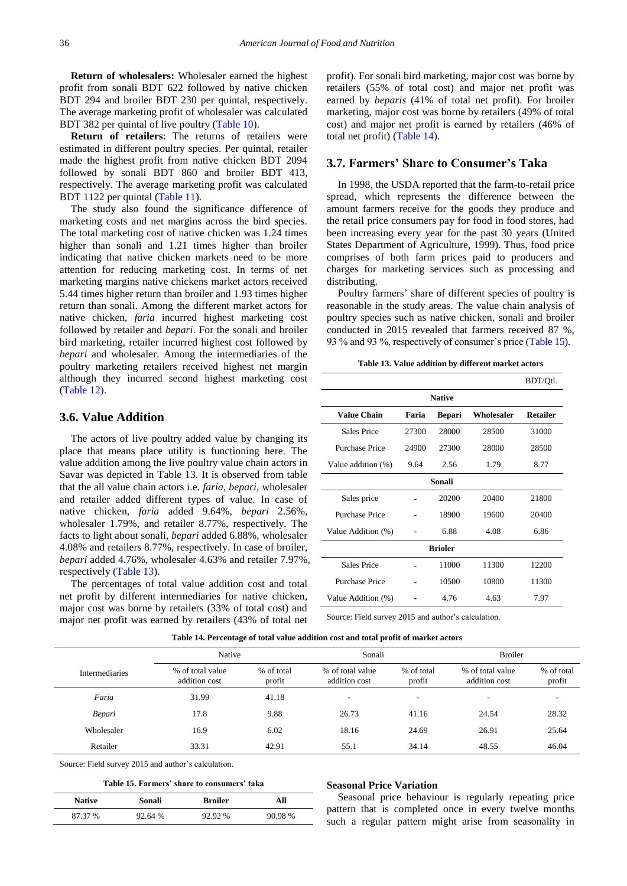**Return of wholesalers:** Wholesaler earned the highest profit from sonali BDT 622 followed by native chicken BDT 294 and broiler BDT 230 per quintal, respectively. The average marketing profit of wholesaler was calculated BDT 382 per quintal of live poultry [\(Table 10\)](#page-7-2).

**Return of retailers**: The returns of retailers were estimated in different poultry species. Per quintal, retailer made the highest profit from native chicken BDT 2094 followed by sonali BDT 860 and broiler BDT 413, respectively. The average marketing profit was calculated BDT 1122 per quintal [\(Table 11\)](#page-7-3).

The study also found the significance difference of marketing costs and net margins across the bird species. The total marketing cost of native chicken was 1.24 times higher than sonali and 1.21 times higher than broiler indicating that native chicken markets need to be more attention for reducing marketing cost. In terms of net marketing margins native chickens market actors received 5.44 times higher return than broiler and 1.93 times higher return than sonali. Among the different market actors for native chicken, *faria* incurred highest marketing cost followed by retailer and *bepari*. For the sonali and broiler bird marketing, retailer incurred highest cost followed by *bepari* and wholesaler. Among the intermediaries of the poultry marketing retailers received highest net margin although they incurred second highest marketing cost [\(Table 12\)](#page-7-4).

## **3.6. Value Addition**

The actors of live poultry added value by changing its place that means place utility is functioning here. The value addition among the live poultry value chain actors in Savar was depicted in Table 13. It is observed from table that the all value chain actors i.e. *faria, bepari*, wholesaler and retailer added different types of value. In case of native chicken, *faria* added 9.64%, *bepari* 2.56%, wholesaler 1.79%, and retailer 8.77%, respectively. The facts to light about sonali, *bepari* added 6.88%, wholesaler 4.08% and retailers 8.77%, respectively. In case of broiler, *bepari* added 4.76%, wholesaler 4.63% and retailer 7.97%, respectively [\(Table 13\)](#page-8-0).

The percentages of total value addition cost and total net profit by different intermediaries for native chicken, major cost was borne by retailers (33% of total cost) and major net profit was earned by retailers (43% of total net profit). For sonali bird marketing, major cost was borne by retailers (55% of total cost) and major net profit was earned by *beparis* (41% of total net profit). For broiler marketing, major cost was borne by retailers (49% of total cost) and major net profit is earned by retailers (46% of total net profit) [\(Table 14\)](#page-8-1).

## **3.7. Farmers' Share to Consumer's Taka**

In 1998, the USDA reported that the farm-to-retail price spread, which represents the difference between the amount farmers receive for the goods they produce and the retail price consumers pay for food in food stores, had been increasing every year for the past 30 years (United States Department of Agriculture, 1999). Thus, food price comprises of both farm prices paid to producers and charges for marketing services such as processing and distributing.

Poultry farmers' share of different species of poultry is reasonable in the study areas. The value chain analysis of poultry species such as native chicken, sonali and broiler conducted in 2015 revealed that farmers received 87 %, 93 % and 93 %, respectively of consumer's price [\(Table 15\)](#page-8-2).

<span id="page-8-0"></span>

|                       |       |               |            | BDT/Qtl.        |  |  |  |  |  |  |  |
|-----------------------|-------|---------------|------------|-----------------|--|--|--|--|--|--|--|
| <b>Native</b>         |       |               |            |                 |  |  |  |  |  |  |  |
| <b>Value Chain</b>    | Faria | <b>Bepari</b> | Wholesaler | <b>Retailer</b> |  |  |  |  |  |  |  |
| Sales Price           | 27300 | 28000         | 28500      | 31000           |  |  |  |  |  |  |  |
| Purchase Price        | 24900 | 27300         | 28000      | 28500           |  |  |  |  |  |  |  |
| Value addition (%)    | 9.64  | 2.56          | 1.79       | 8.77            |  |  |  |  |  |  |  |
| Sonali                |       |               |            |                 |  |  |  |  |  |  |  |
| Sales price           |       | 20200         | 20400      | 21800           |  |  |  |  |  |  |  |
| <b>Purchase Price</b> |       | 18900         | 19600      | 20400           |  |  |  |  |  |  |  |
| Value Addition (%)    |       | 6.88          | 4.08       | 6.86            |  |  |  |  |  |  |  |
| <b>Brioler</b>        |       |               |            |                 |  |  |  |  |  |  |  |
| Sales Price           |       | 11000         | 11300      | 12200           |  |  |  |  |  |  |  |
| Purchase Price        |       | 10500         | 10800      | 11300           |  |  |  |  |  |  |  |
| Value Addition (%)    |       | 4.76          | 4.63       | 7.97            |  |  |  |  |  |  |  |

Source: Field survey 2015 and author's calculation.

<span id="page-8-1"></span>

|                | Native                            |                      | Sonali                            |                          | <b>Broiler</b>                    |                      |
|----------------|-----------------------------------|----------------------|-----------------------------------|--------------------------|-----------------------------------|----------------------|
| Intermediaries | % of total value<br>addition cost | % of total<br>profit | % of total value<br>addition cost | % of total<br>profit     | % of total value<br>addition cost | % of total<br>profit |
| Faria          | 31.99                             | 41.18                | ۰.                                | $\overline{\phantom{0}}$ | $\overline{\phantom{0}}$          | ۰                    |
| Bepari         | 17.8                              | 9.88                 | 26.73                             | 41.16                    | 24.54                             | 28.32                |
| Wholesaler     | 16.9                              | 6.02                 | 18.16                             | 24.69                    | 26.91                             | 25.64                |
| Retailer       | 33.31                             | 42.91                | 55.1                              | 34.14                    | 48.55                             | 46.04                |

**Table 14. Percentage of total value addition cost and total profit of market actors**

Source: Field survey 2015 and author's calculation.

**Table 15. Farmers' share to consumers' taka**

<span id="page-8-2"></span>

| <b>Native</b> | Sonali  | <b>Broiler</b> | All     |
|---------------|---------|----------------|---------|
| 87.37 %       | 92.64 % | 92.92 %        | 90.98 % |

#### **Seasonal Price Variation**

Seasonal price behaviour is regularly repeating price pattern that is completed once in every twelve months such a regular pattern might arise from seasonality in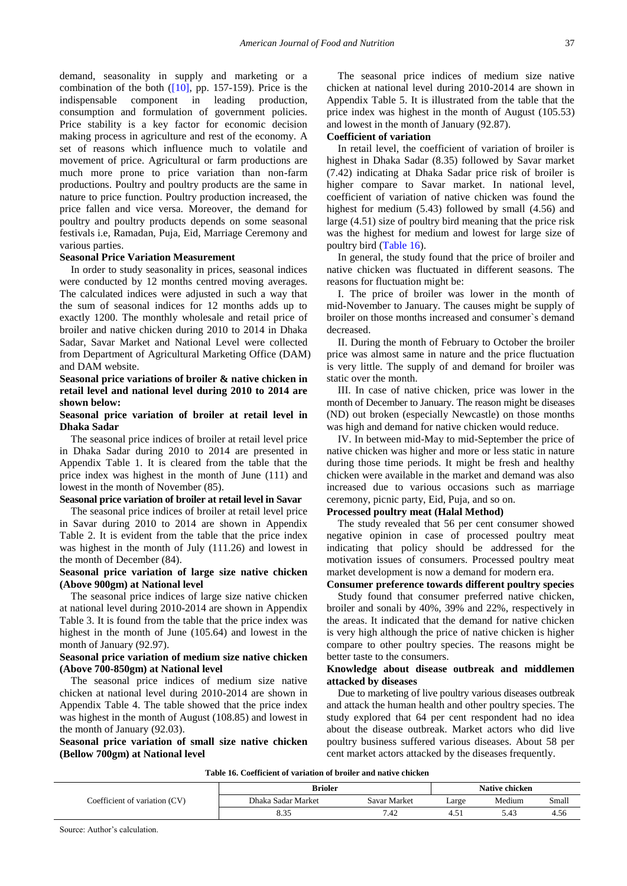demand, seasonality in supply and marketing or a combination of the both  $([10]$ , pp. 157-159). Price is the indispensable component in leading production, consumption and formulation of government policies. Price stability is a key factor for economic decision making process in agriculture and rest of the economy. A set of reasons which influence much to volatile and movement of price. Agricultural or farm productions are much more prone to price variation than non-farm productions. Poultry and poultry products are the same in nature to price function. Poultry production increased, the price fallen and vice versa. Moreover, the demand for poultry and poultry products depends on some seasonal festivals i.e, Ramadan, Puja, Eid, Marriage Ceremony and various parties.

#### **Seasonal Price Variation Measurement**

In order to study seasonality in prices, seasonal indices were conducted by 12 months centred moving averages. The calculated indices were adjusted in such a way that the sum of seasonal indices for 12 months adds up to exactly 1200. The monthly wholesale and retail price of broiler and native chicken during 2010 to 2014 in Dhaka Sadar, Savar Market and National Level were collected from Department of Agricultural Marketing Office (DAM) and DAM website.

# **Seasonal price variations of broiler & native chicken in retail level and national level during 2010 to 2014 are shown below:**

## **Seasonal price variation of broiler at retail level in Dhaka Sadar**

The seasonal price indices of broiler at retail level price in Dhaka Sadar during 2010 to 2014 are presented in Appendix Table 1. It is cleared from the table that the price index was highest in the month of June (111) and lowest in the month of November (85).

# **Seasonal price variation of broiler at retail level in Savar**

The seasonal price indices of broiler at retail level price in Savar during 2010 to 2014 are shown in Appendix Table 2. It is evident from the table that the price index was highest in the month of July (111.26) and lowest in the month of December (84).

#### **Seasonal price variation of large size native chicken (Above 900gm) at National level**

The seasonal price indices of large size native chicken at national level during 2010-2014 are shown in Appendix Table 3. It is found from the table that the price index was highest in the month of June (105.64) and lowest in the month of January (92.97).

### **Seasonal price variation of medium size native chicken (Above 700-850gm) at National level**

The seasonal price indices of medium size native chicken at national level during 2010-2014 are shown in Appendix Table 4. The table showed that the price index was highest in the month of August (108.85) and lowest in the month of January (92.03).

**Seasonal price variation of small size native chicken (Bellow 700gm) at National level**

The seasonal price indices of medium size native chicken at national level during 2010-2014 are shown in Appendix Table 5. It is illustrated from the table that the price index was highest in the month of August (105.53) and lowest in the month of January (92.87).

#### **Coefficient of variation**

In retail level, the coefficient of variation of broiler is highest in Dhaka Sadar (8.35) followed by Savar market (7.42) indicating at Dhaka Sadar price risk of broiler is higher compare to Savar market. In national level, coefficient of variation of native chicken was found the highest for medium (5.43) followed by small (4.56) and large (4.51) size of poultry bird meaning that the price risk was the highest for medium and lowest for large size of poultry bird [\(Table 16\)](#page-9-0).

In general, the study found that the price of broiler and native chicken was fluctuated in different seasons. The reasons for fluctuation might be:

I. The price of broiler was lower in the month of mid-November to January. The causes might be supply of broiler on those months increased and consumer`s demand decreased.

II. During the month of February to October the broiler price was almost same in nature and the price fluctuation is very little. The supply of and demand for broiler was static over the month.

III. In case of native chicken, price was lower in the month of December to January. The reason might be diseases (ND) out broken (especially Newcastle) on those months was high and demand for native chicken would reduce.

IV. In between mid-May to mid-September the price of native chicken was higher and more or less static in nature during those time periods. It might be fresh and healthy chicken were available in the market and demand was also increased due to various occasions such as marriage ceremony, picnic party, Eid, Puja, and so on.

#### **Processed poultry meat (Halal Method)**

The study revealed that 56 per cent consumer showed negative opinion in case of processed poultry meat indicating that policy should be addressed for the motivation issues of consumers. Processed poultry meat market development is now a demand for modern era.

#### **Consumer preference towards different poultry species**

Study found that consumer preferred native chicken, broiler and sonali by 40%, 39% and 22%, respectively in the areas. It indicated that the demand for native chicken is very high although the price of native chicken is higher compare to other poultry species. The reasons might be better taste to the consumers.

## **Knowledge about disease outbreak and middlemen attacked by diseases**

Due to marketing of live poultry various diseases outbreak and attack the human health and other poultry species. The study explored that 64 per cent respondent had no idea about the disease outbreak. Market actors who did live poultry business suffered various diseases. About 58 per cent market actors attacked by the diseases frequently.

**Table 16. Coefficient of variation of broiler and native chicken** 

<span id="page-9-0"></span>

|                               | <b>Brioler</b>     | <b>Native chicken</b> |            |        |       |
|-------------------------------|--------------------|-----------------------|------------|--------|-------|
| Coefficient of variation (CV) | Dhaka Sadar Market | Savar Market          | Large      | Medium | Small |
|                               | $\Omega$<br>دد.ه   | 7.42                  | 4<br>T.J 1 | 5.43   | 4.56  |

Source: Author's calculation.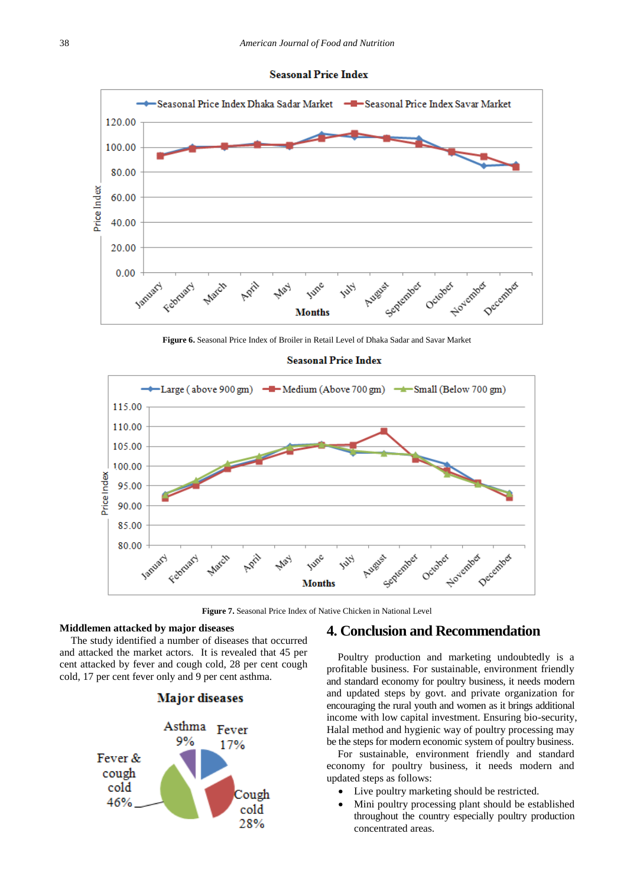



**Figure 6.** Seasonal Price Index of Broiler in Retail Level of Dhaka Sadar and Savar Market



**Figure 7.** Seasonal Price Index of Native Chicken in National Level

#### **Middlemen attacked by major diseases**

The study identified a number of diseases that occurred and attacked the market actors. It is revealed that 45 per cent attacked by fever and cough cold, 28 per cent cough cold, 17 per cent fever only and 9 per cent asthma.





# **4. Conclusion and Recommendation**

Poultry production and marketing undoubtedly is a profitable business. For sustainable, environment friendly and standard economy for poultry business, it needs modern and updated steps by govt. and private organization for encouraging the rural youth and women as it brings additional income with low capital investment. Ensuring bio-security, Halal method and hygienic way of poultry processing may be the steps for modern economic system of poultry business.

For sustainable, environment friendly and standard economy for poultry business, it needs modern and updated steps as follows:

- Live poultry marketing should be restricted.
- Mini poultry processing plant should be established throughout the country especially poultry production concentrated areas.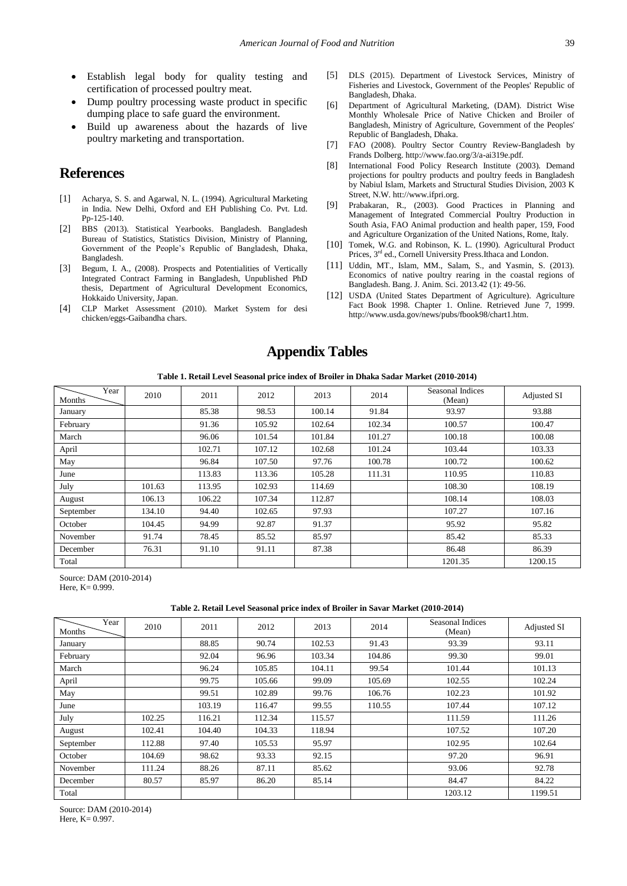- Establish legal body for quality testing and certification of processed poultry meat.
- Dump poultry processing waste product in specific dumping place to safe guard the environment.
- Build up awareness about the hazards of live poultry marketing and transportation.

# **References**

- <span id="page-11-7"></span>[1] Acharya, S. S. and Agarwal, N. L. (1994). Agricultural Marketing in India. New Delhi, Oxford and EH Publishing Co. Pvt. Ltd. Pp-125-140.
- <span id="page-11-0"></span>[2] BBS (2013). Statistical Yearbooks. Bangladesh. Bangladesh Bureau of Statistics, Statistics Division, Ministry of Planning, Government of the People's Republic of Bangladesh, Dhaka, Bangladesh.
- <span id="page-11-3"></span>[3] Begum, I. A., (2008). Prospects and Potentialities of Vertically Integrated Contract Farming in Bangladesh, Unpublished PhD thesis, Department of Agricultural Development Economics, Hokkaido University, Japan.
- <span id="page-11-5"></span>[4] CLP Market Assessment (2010). Market System for desi chicken/eggs-Gaibandha chars.
- <span id="page-11-2"></span>[5] DLS (2015). Department of Livestock Services, Ministry of Fisheries and Livestock, Government of the Peoples' Republic of Bangladesh, Dhaka.
- [6] Department of Agricultural Marketing, (DAM). District Wise Monthly Wholesale Price of Native Chicken and Broiler of Bangladesh, Ministry of Agriculture, Government of the Peoples' Republic of Bangladesh, Dhaka.
- [7] FAO (2008). Poultry Sector Country Review-Bangladesh by Frands Dolberg. http://www.fao.org/3/a-ai319e.pdf*.*
- <span id="page-11-6"></span>[8] International Food Policy Research Institute (2003). Demand projections for poultry products and poultry feeds in Bangladesh by Nabiul Islam, Markets and Structural Studies Division, 2003 K Street, N.W. htt://www.ifpri.org.
- <span id="page-11-1"></span>[9] Prabakaran, R., (2003). Good Practices in Planning and Management of Integrated Commercial Poultry Production in South Asia, FAO Animal production and health paper, 159, Food and Agriculture Organization of the United Nations, Rome, Italy.
- <span id="page-11-8"></span>[10] Tomek, W.G. and Robinson, K. L. (1990). Agricultural Product Prices, 3<sup>rd</sup> ed., Cornell University Press.Ithaca and London.
- <span id="page-11-4"></span>[11] Uddin, MT., Islam, MM., Salam, S., and Yasmin, S. (2013). Economics of native poultry rearing in the coastal regions of Bangladesh. Bang. J. Anim. Sci. 2013.42 (1): 49-56.
- [12] USDA (United States Department of Agriculture). Agriculture Fact Book 1998. Chapter 1. Online. Retrieved June 7, 1999. http://www.usda.gov/news/pubs/fbook98/chart1.htm.

# **Appendix Tables**

**Table 1. Retail Level Seasonal price index of Broiler in Dhaka Sadar Market (2010-2014)**

| Year<br>Months | 2010   | 2011   | 2012   | 2013   | 2014   | Seasonal Indices<br>(Mean) | <b>Adjusted SI</b> |
|----------------|--------|--------|--------|--------|--------|----------------------------|--------------------|
| January        |        | 85.38  | 98.53  | 100.14 | 91.84  | 93.97                      | 93.88              |
| February       |        | 91.36  | 105.92 | 102.64 | 102.34 | 100.57                     | 100.47             |
| March          |        | 96.06  | 101.54 | 101.84 | 101.27 | 100.18                     | 100.08             |
| April          |        | 102.71 | 107.12 | 102.68 | 101.24 | 103.44                     | 103.33             |
| May            |        | 96.84  | 107.50 | 97.76  | 100.78 | 100.72                     | 100.62             |
| June           |        | 113.83 | 113.36 | 105.28 | 111.31 | 110.95                     | 110.83             |
| July           | 101.63 | 113.95 | 102.93 | 114.69 |        | 108.30                     | 108.19             |
| August         | 106.13 | 106.22 | 107.34 | 112.87 |        | 108.14                     | 108.03             |
| September      | 134.10 | 94.40  | 102.65 | 97.93  |        | 107.27                     | 107.16             |
| October        | 104.45 | 94.99  | 92.87  | 91.37  |        | 95.92                      | 95.82              |
| November       | 91.74  | 78.45  | 85.52  | 85.97  |        | 85.42                      | 85.33              |
| December       | 76.31  | 91.10  | 91.11  | 87.38  |        | 86.48                      | 86.39              |
| Total          |        |        |        |        |        | 1201.35                    | 1200.15            |

Source: DAM (2010-2014) Here, K= 0.999.

#### **Table 2. Retail Level Seasonal price index of Broiler in Savar Market (2010-2014)**

| Year<br>Months | 2010   | 2011   | 2012   | 2013   | 2014   | Seasonal Indices<br>(Mean) | <b>Adjusted SI</b> |
|----------------|--------|--------|--------|--------|--------|----------------------------|--------------------|
| January        |        | 88.85  | 90.74  | 102.53 | 91.43  | 93.39                      | 93.11              |
| February       |        | 92.04  | 96.96  | 103.34 | 104.86 | 99.30                      | 99.01              |
| March          |        | 96.24  | 105.85 | 104.11 | 99.54  | 101.44                     | 101.13             |
| April          |        | 99.75  | 105.66 | 99.09  | 105.69 | 102.55                     | 102.24             |
| May            |        | 99.51  | 102.89 | 99.76  | 106.76 | 102.23                     | 101.92             |
| June           |        | 103.19 | 116.47 | 99.55  | 110.55 | 107.44                     | 107.12             |
| July           | 102.25 | 116.21 | 112.34 | 115.57 |        | 111.59                     | 111.26             |
| August         | 102.41 | 104.40 | 104.33 | 118.94 |        | 107.52                     | 107.20             |
| September      | 112.88 | 97.40  | 105.53 | 95.97  |        | 102.95                     | 102.64             |
| October        | 104.69 | 98.62  | 93.33  | 92.15  |        | 97.20                      | 96.91              |
| November       | 111.24 | 88.26  | 87.11  | 85.62  |        | 93.06                      | 92.78              |
| December       | 80.57  | 85.97  | 86.20  | 85.14  |        | 84.47                      | 84.22              |
| Total          |        |        |        |        |        | 1203.12                    | 1199.51            |

Source: DAM (2010-2014) Here,  $K = 0.997$ .